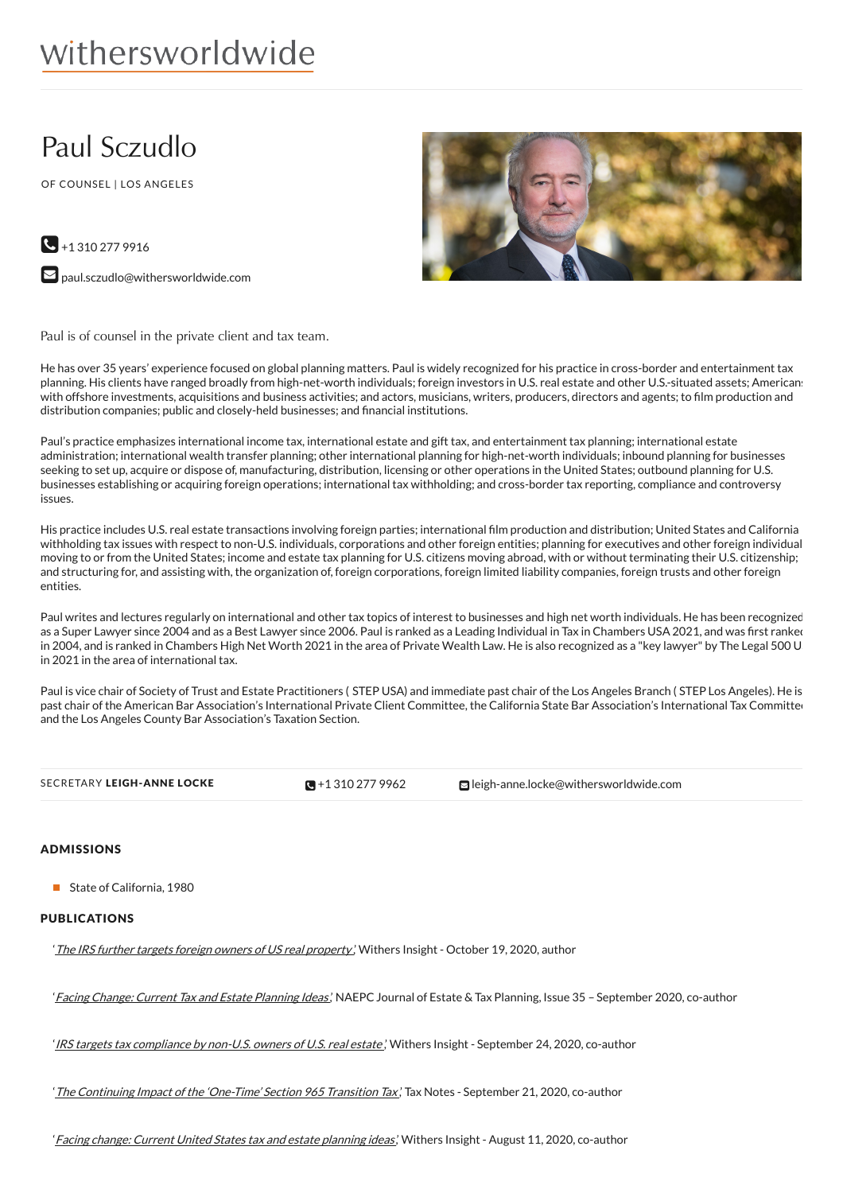# withersworldwide

## Paul Sczudlo

OF COUNSEL | LOS ANGELES





Paul is of counsel in the private client and tax team.

He has over 35 years' experience focused on global planning matters. Paul is widely recognized for his practice in cross-border and entertainment tax planning. His clients have ranged broadly from high-net-worth individuals; foreign investors in U.S. real estate and other U.S.-situated assets; Americans with offshore investments, acquisitions and business activities; and actors, musicians, writers, producers, directors and agents; to film production and distribution companies; public and closely-held businesses; and financial institutions.

Paul's practice emphasizes international income tax, international estate and gift tax, and entertainment tax planning; international estate administration; international wealth transfer planning; other international planning for high-net-worth individuals; inbound planning for businesses seeking to set up, acquire or dispose of, manufacturing, distribution, licensing or other operations in the United States; outbound planning for U.S. businesses establishing or acquiring foreign operations; international tax withholding; and cross-border tax reporting, compliance and controversy issues.

His practice includes U.S. real estate transactions involving foreign parties; international film production and distribution; United States and California withholding tax issues with respect to non-U.S. individuals, corporations and other foreign entities; planning for executives and other foreign individuals moving to or from the United States; income and estate tax planning for U.S. citizens moving abroad, with or without terminating their U.S. citizenship; and structuring for, and assisting with, the organization of, foreign corporations, foreign limited liability companies, foreign trusts and other foreign entities.

Paul writes and lectures regularly on international and other tax topics of interest to businesses and high net worth individuals. He has been recognized as a Super Lawyer since 2004 and as a Best Lawyer since 2006. Paul is ranked as a Leading Individual in Tax in Chambers USA 2021, and was first ranked in 2004, and is ranked in Chambers High Net Worth 2021 in the area of Private Wealth Law. He is also recognized as a "key lawyer" by The Legal 500 U in 2021 in the area of international tax.

Paul is vice chair of Society of Trust and Estate Practitioners (STEP USA) and immediate past chair of the Los Angeles Branch (STEP Los Angeles). He is past chair of the American Bar Association's International Private Client Committee, the California State Bar Association's International Tax Committee and the Los Angeles County Bar Association's Taxation Section.

 $\sqrt{9} + 13102779962$ 

SECRETARY LEIGH-ANNE LOCKE **+1** 310 277 [9962](tel:+1 310 277 9962) **[leigh-anne.locke@withersworldwide.com](mailto:leigh-anne.locke@withersworldwide.com)** 

## **ADMISSIONS**

State of California, 1980

## PUBLICATIONS

'The IRS further targets foreign owners of US real [property](https://www.withersworldwide.com/en-gb/insight/the-irs-further-targets-foreign-owners-of-us-real-property),' Withers Insight - October 19, 2020, author

'Facing Change: Current Tax and Estate [Planning](http://www.naepcjournal.org/wp-content/uploads/issue35d.pdf) Ideas', NAEPC Journal of Estate & Tax Planning, Issue 35 - September 2020, co-author

IRS targets tax [compliance](https://www.withersworldwide.com/en-gb/insight/irs-targets-tax-compliance-by-non-u-s-owners-of-real-estate) by non-U.S. owners of U.S. real estate, Withers Insight - September 24, 2020, co-author

'The [Continuing](https://www.withersworldwide.com/en-gb/insight/the-continuing-US-tax-impact-of-the-one-time-section-965-transition-tax) Impact of the 'One-Time' Section 965 Transition Tax,' Tax Notes - September 21, 2020, co-author

'Facing change: Current United States tax and estate [planning](https://www.withersworldwide.com/en-gb/insight/facing-change-current-united-states-tax-and-estate-planning-ideas) ideas', Withers Insight - August 11, 2020, co-author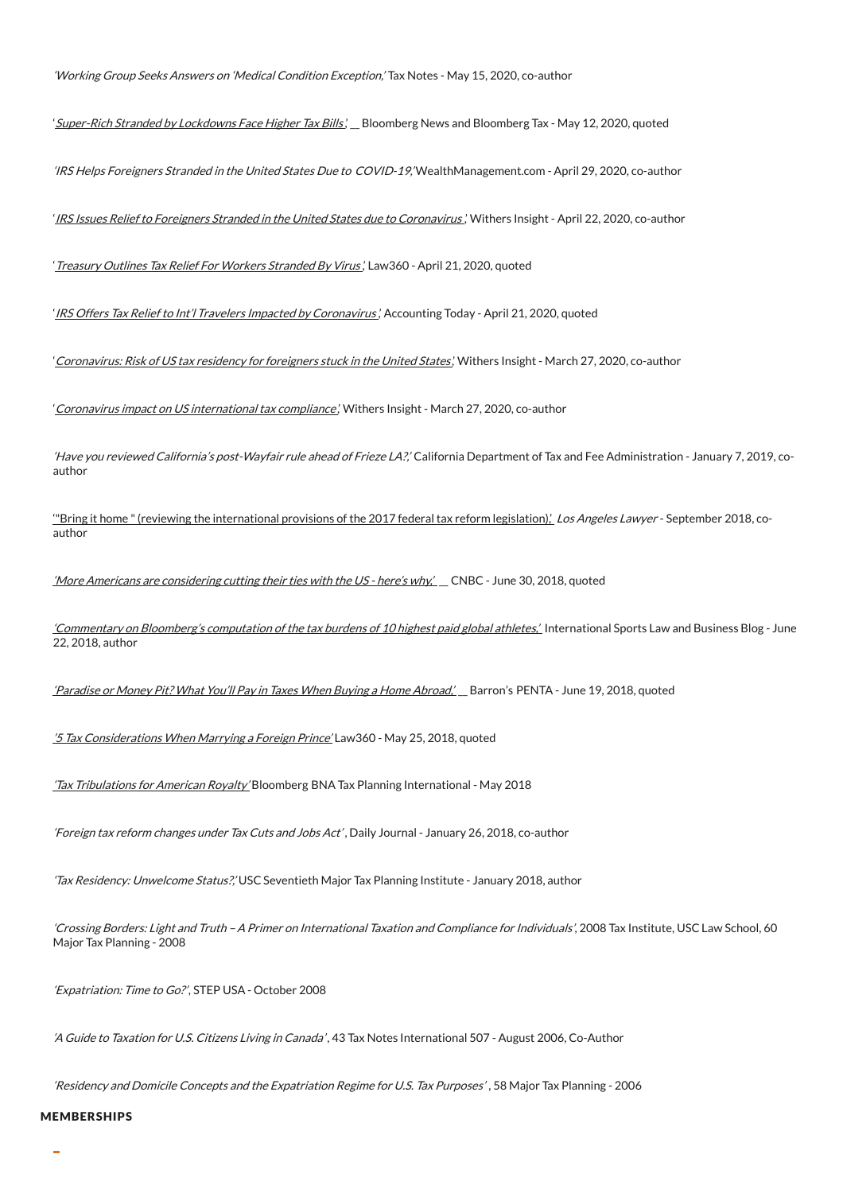'Working Group Seeks Answers on 'Medical Condition Exception,' Tax Notes - May 15, 2020, co-author

'[Super-Rich](https://www.bloomberg.com/news/articles/2020-05-12/stranded-super-rich-confront-tax-chaos-after-pandemic-lockdowns) Stranded by Lockdowns Face Higher Tax Bills', Bloomberg News and Bloomberg Tax - May 12, 2020, quoted

'IRS Helps Foreigners Stranded in the United States Due to COVID-19,' WealthManagement.com - April 29, 2020, co-author

'IRS Issues Relief to Foreigners Stranded in the United States due to [Coronavirus](https://www.withersworldwide.com/en-gb/insight/irs-issues-relief-to-foreigners-stranded-in-the-united-states-due-to-coronavirus),' Withers Insight - April 22, 2020, co-author

' [Treasury](https://www.law360.com/articles/1266022/treasury-outlines-tax-relief-for-workers-stranded-by-virus) Outlines Tax Relief For Workers Stranded By Virus,' Law360 - April 21, 2020, quoted

'IRS Offers Tax Relief to Int'l Travelers Impacted by [Coronavirus](https://www.accountingtoday.com/news/irs-offers-tax-relief-to-international-travelers-impacted-by-coronavirus),' Accounting Today - April 21, 2020, quoted

'[Coronavirus:](https://www.withersworldwide.com/en-gb/insight/coronavirus-risk-of-us-tax-residency-for-foreigners-stuck-in-the-united-states) Risk of US tax residency for foreigners stuck in the United States', Withers Insight - March 27, 2020, co-author

'Coronavirus impact on US international tax [compliance](https://www.withersworldwide.com/en-gb/insight/coronavirus-impact-on-us-international-tax-compliance),' Withers Insight - March 27, 2020, co-author

'Have you reviewed California's post-Wayfair rule ahead of Frieze LA?,' California Department of Tax and Fee Administration - January 7, 2019, coauthor

"Bring it home " (reviewing the [international](https://www.withersworldwide.com/en-gb/insight/insight-48) provisions of the 2017 federal tax reform legislation),' Los Angeles Lawyer - September 2018, coauthor

'More Americans are [considering](https://www.msn.com/en-us/news/money/more-americans-are-considering-cutting-their-ties-with-the-us-%E2%80%94-heres-why/ar-AAzojqz) cutting their ties with the US - here's why,' \_ CNBC - June 30, 2018, quoted

['Commentary](https://www.withersworldwide.com/en-gb/commentary-on-bloombergs-computation-of-the-tax-burdens-of-10-highest-paid-global-athletesWithers) on Bloomberg's computation of the tax burdens of 10 highest paid global athletes,' International Sports Law and Business Blog - June 22, 2018, author

'Paradise or Money Pit? What You'll Pay in Taxes When Buying a Home [Abroad,'](https://www.barrons.com/articles/paradise-or-money-pit-what-youll-pay-in-taxes-when-buying-a-home-abroad-1529384400) \_ Barron's PENTA - June 19, 2018, quoted

'5 Tax [Considerations](https://www.law360.com/articles/1047458/5-tax-considerations-when-marrying-a-foreign-prince_%2C_) When Marrying <sup>a</sup> Foreign Prince' Law360 - May 25, 2018, quoted

'Tax [Tribulations](https://www.withersworldwide.com/en-gb/insight/tax-tribulations-for-american-royalty_%2C_) for American Royalty' Bloomberg BNA Tax Planning International - May 2018

'Foreign tax reform changes under Tax Cuts and Jobs Act' , Daily Journal - January 26, 2018, co-author

'Tax Residency: Unwelcome Status?,' USC Seventieth Major Tax Planning Institute - January 2018, author

'Crossing Borders: Light and Truth –A Primer on International Taxation and Compliance for Individuals', 2008 Tax Institute, USC Law School, 60 Major Tax Planning - 2008

'Expatriation: Time to Go?', STEP USA - October 2008

'A Guide to Taxation for U.S. Citizens Living in Canada' , 43 Tax Notes International 507 - August 2006, Co-Author

'Residency and Domicile Concepts and the Expatriation Regime for U.S. Tax Purposes' , 58 Major Tax Planning - 2006

#### MEMBERSHIPS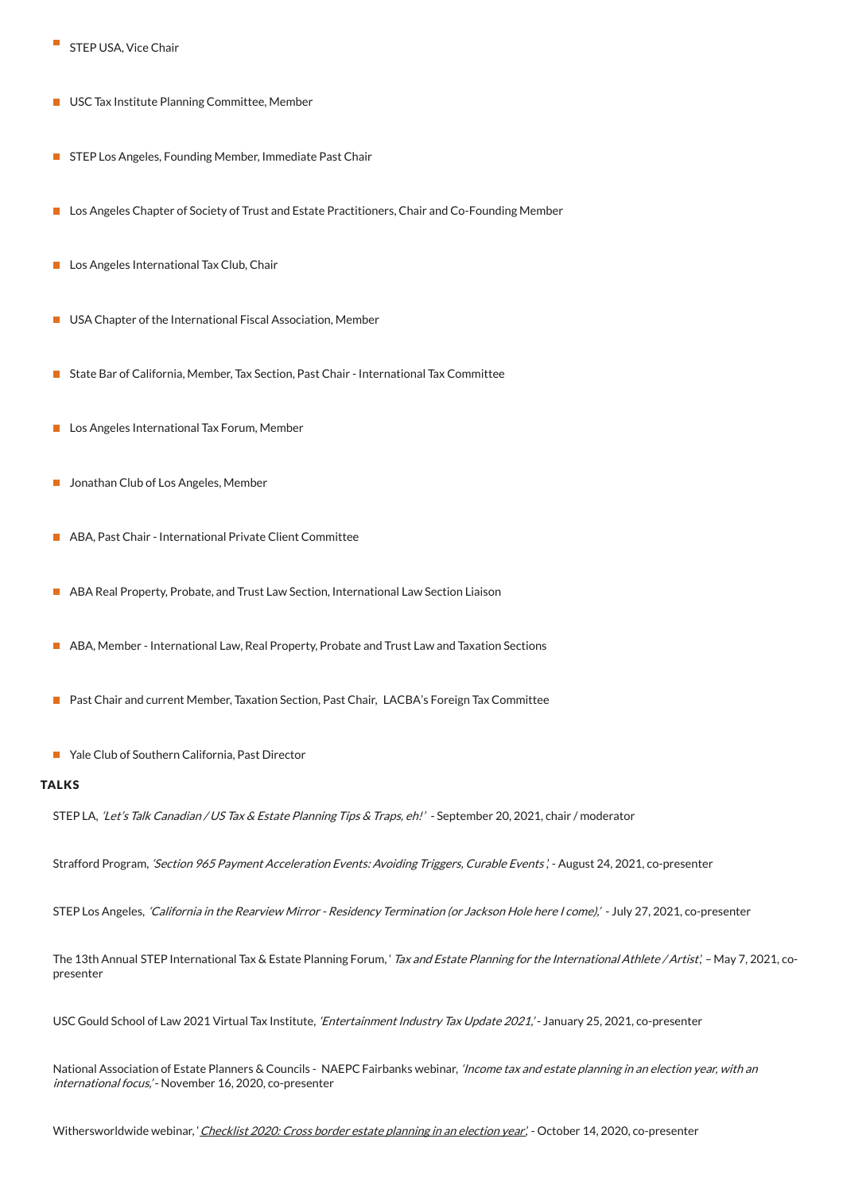- STEP USA, Vice Chair
- **USC Tax Institute Planning Committee, Member**
- STEP Los Angeles, Founding Member, Immediate Past Chair
- **Lacks Angeles Chapter of Society of Trust and Estate Practitioners, Chair and Co-Founding Member**
- Los Angeles International Tax Club, Chair
- USA Chapter of the International Fiscal Association, Member  $\mathcal{L}_{\mathcal{A}}$
- State Bar of California, Member, Tax Section, Past Chair International Tax Committee
- **Los Angeles International Tax Forum, Member**
- **Jonathan Club of Los Angeles, Member**
- ABA, Past Chair International Private Client Committee
- ABA Real Property, Probate, and Trust Law Section, International Law Section Liaison
- **ABA, Member International Law, Real Property, Probate and Trust Law and Taxation Sections**
- Past Chair and current Member, Taxation Section, Past Chair, LACBA's Foreign Tax Committee
- Yale Club of Southern California, Past Director

## **TALKS**

STEP LA, 'Let's Talk Canadian / US Tax & Estate Planning Tips & Traps, eh!' - September 20, 2021, chair / moderator

Strafford Program, 'Section 965 Payment Acceleration Events: Avoiding Triggers, Curable Events', - August 24, 2021, co-presenter

STEP Los Angeles, 'California in the Rearview Mirror - Residency Termination (or Jackson Hole here I come),' - July 27, 2021, co-presenter

The 13th Annual STEP International Tax & Estate Planning Forum, 'Tax and Estate Planning for the International Athlete / Artist,' - May 7, 2021, copresenter

USC Gould School of Law 2021 Virtual Tax Institute, 'Entertainment Industry Tax Update 2021,' - January 25, 2021, co-presenter

National Association of Estate Planners & Councils - NAEPC Fairbanks webinar, 'Income tax and estate planning in an election year, with an international focus,' - November 16, 2020, co-presenter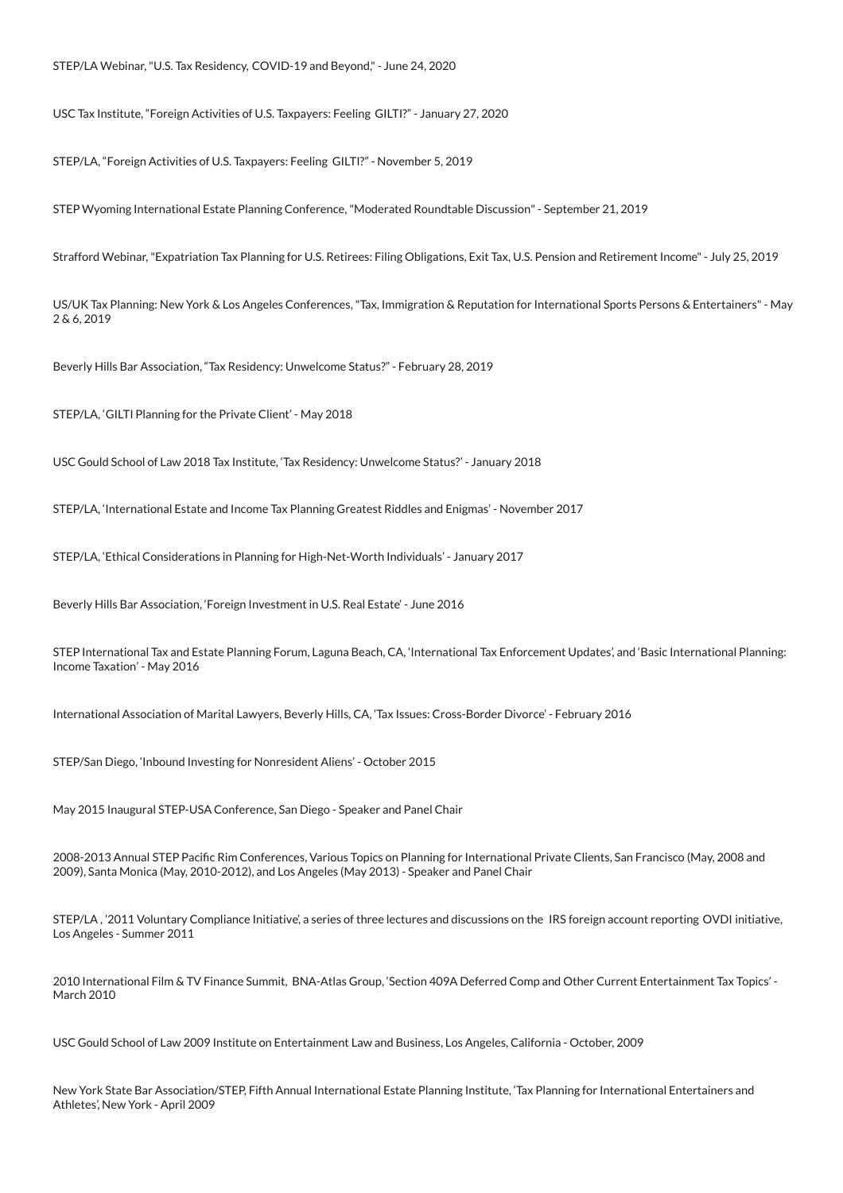USC Tax Institute, "Foreign Activities of U.S. Taxpayers: Feeling GILTI?" - January 27, 2020

STEP/LA, "Foreign Activities of U.S. Taxpayers: Feeling GILTI?" - November 5, 2019

STEP Wyoming International Estate Planning Conference,"Moderated Roundtable Discussion"- September 21, 2019

Strafford Webinar,"Expatriation Tax Planning for U.S. Retirees: Filing Obligations, Exit Tax, U.S. Pension and Retirement Income"- July 25, 2019

US/UK Tax Planning: New York & Los Angeles Conferences,"Tax, Immigration & Reputation for International Sports Persons & Entertainers"- May 2 & 6, 2019

Beverly Hills Bar Association, "Tax Residency: Unwelcome Status?" - February 28, 2019

STEP/LA, 'GILTI Planning for the Private Client' - May 2018

USC Gould School of Law 2018 Tax Institute, 'Tax Residency: Unwelcome Status?' - January 2018

STEP/LA, 'International Estate and Income Tax Planning Greatest Riddles and Enigmas' - November 2017

STEP/LA, 'Ethical Considerations in Planning for High-Net-Worth Individuals' - January 2017

Beverly Hills Bar Association, 'Foreign Investment in U.S. Real Estate' - June 2016

STEP International Tax and Estate Planning Forum, Laguna Beach, CA, 'International Tax Enforcement Updates', and 'Basic International Planning: Income Taxation' - May 2016

International Association of Marital Lawyers, Beverly Hills, CA, 'Tax Issues: Cross-Border Divorce' - February 2016

STEP/San Diego, 'Inbound Investing for Nonresident Aliens' - October 2015

May 2015 Inaugural STEP-USA Conference, San Diego - Speaker and Panel Chair

2008-2013 Annual STEP Pacific Rim Conferences, Various Topics on Planning for International Private Clients, San Francisco (May, 2008 and 2009), Santa Monica (May, 2010-2012), and Los Angeles (May 2013) - Speaker and Panel Chair

STEP/LA , '2011 Voluntary Compliance Initiative', a series of three lectures and discussions on the IRS foreign account reporting OVDI initiative, Los Angeles - Summer 2011

2010 International Film & TV Finance Summit, BNA-Atlas Group, 'Section 409A Deferred Comp and Other Current Entertainment Tax Topics' - March 2010

USC Gould School of Law 2009 Institute on Entertainment Law and Business, Los Angeles, California - October, 2009

New York State Bar Association/STEP, Fifth Annual International Estate Planning Institute, 'Tax Planning for International Entertainers and Athletes', New York - April 2009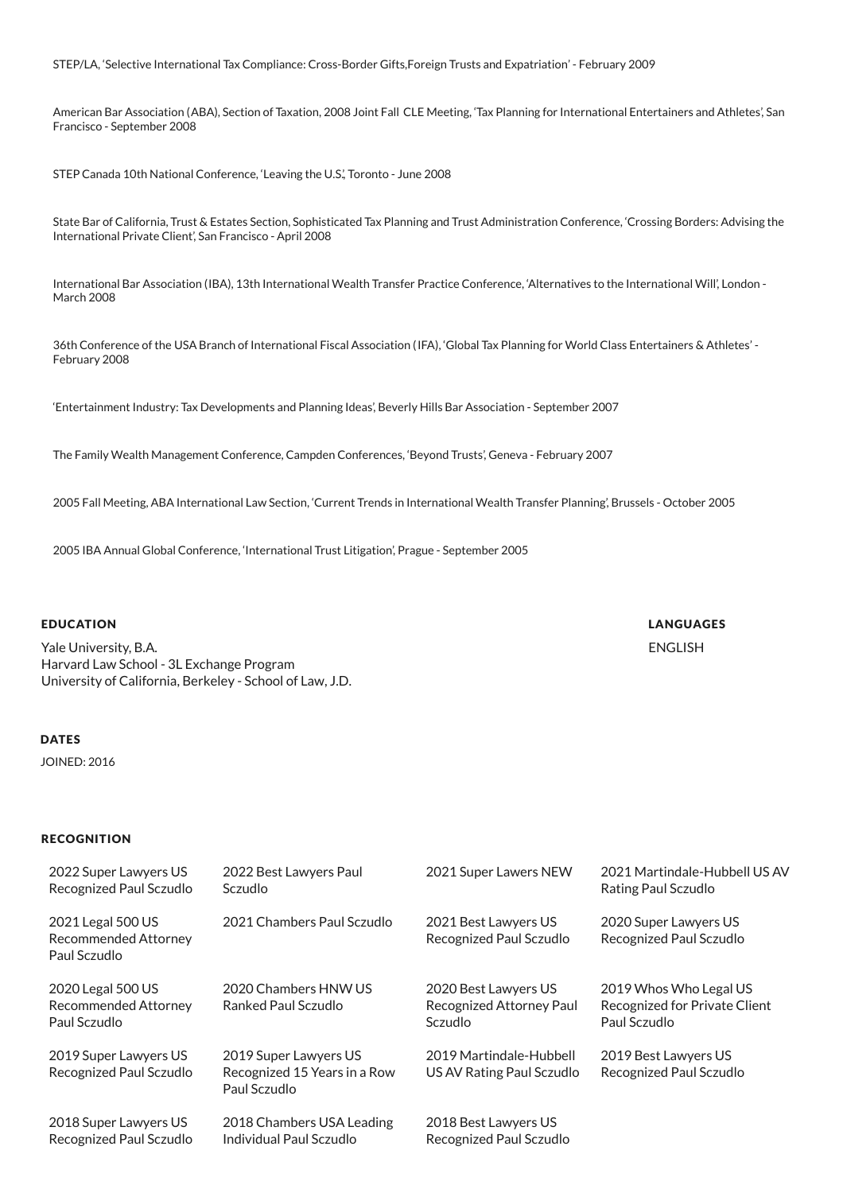STEP/LA, 'Selective International Tax Compliance: Cross-Border Gifts,Foreign Trusts and Expatriation' - February 2009

American Bar Association (ABA), Section of Taxation, 2008 Joint Fall CLE Meeting, 'Tax Planning for International Entertainers and Athletes', San Francisco - September 2008

STEP Canada 10th National Conference, 'Leaving the U.S.', Toronto - June 2008

State Bar of California, Trust & Estates Section, Sophisticated Tax Planning and Trust Administration Conference, 'Crossing Borders: Advising the International Private Client', San Francisco - April 2008

International Bar Association (IBA), 13th International Wealth Transfer Practice Conference, 'Alternatives to the International Will', London - March 2008

36th Conference of the USA Branch of International Fiscal Association (IFA), 'Global Tax Planning for World Class Entertainers & Athletes' - February 2008

'Entertainment Industry: Tax Developments and Planning Ideas', Beverly Hills Bar Association - September 2007

The Family Wealth Management Conference, Campden Conferences, 'Beyond Trusts', Geneva - February 2007

2005 Fall Meeting, ABA International Law Section, 'Current Trends in International Wealth Transfer Planning', Brussels - October 2005

LANGUAGES ENGLISH

2005 IBA Annual Global Conference, 'International Trust Litigation', Prague - September 2005

#### EDUCATION

Yale University, B.A. Harvard Law School - 3L Exchange Program University of California, Berkeley - School of Law, J.D.

### **DATES**

JOINED: 2016

## **RECOGNITION**

| 2022 Super Lawyers US<br>Recognized Paul Sczudlo                 | 2022 Best Lawyers Paul<br><b>Sczudlo</b>                              | 2021 Super Lawers NEW                                       | 2021 Martindale-Hubbell US AV<br>Rating Paul Sczudlo                    |
|------------------------------------------------------------------|-----------------------------------------------------------------------|-------------------------------------------------------------|-------------------------------------------------------------------------|
| 2021 Legal 500 US<br>Recommended Attorney<br>Paul Sczudlo        | 2021 Chambers Paul Sczudlo                                            | 2021 Best Lawyers US<br>Recognized Paul Sczudlo             | 2020 Super Lawyers US<br>Recognized Paul Sczudlo                        |
| 2020 Legal 500 US<br><b>Recommended Attorney</b><br>Paul Sczudlo | 2020 Chambers HNW US<br>Ranked Paul Sczudlo                           | 2020 Best Lawyers US<br>Recognized Attorney Paul<br>Sczudlo | 2019 Whos Who Legal US<br>Recognized for Private Client<br>Paul Sczudlo |
| 2019 Super Lawyers US<br>Recognized Paul Sczudlo                 | 2019 Super Lawyers US<br>Recognized 15 Years in a Row<br>Paul Sczudlo | 2019 Martindale-Hubbell<br>US AV Rating Paul Sczudlo        | 2019 Best Lawyers US<br>Recognized Paul Sczudlo                         |
| 2018 Super Lawyers US<br>Recognized Paul Sczudlo                 | 2018 Chambers USA Leading<br>Individual Paul Sczudlo                  | 2018 Best Lawyers US<br>Recognized Paul Sczudlo             |                                                                         |